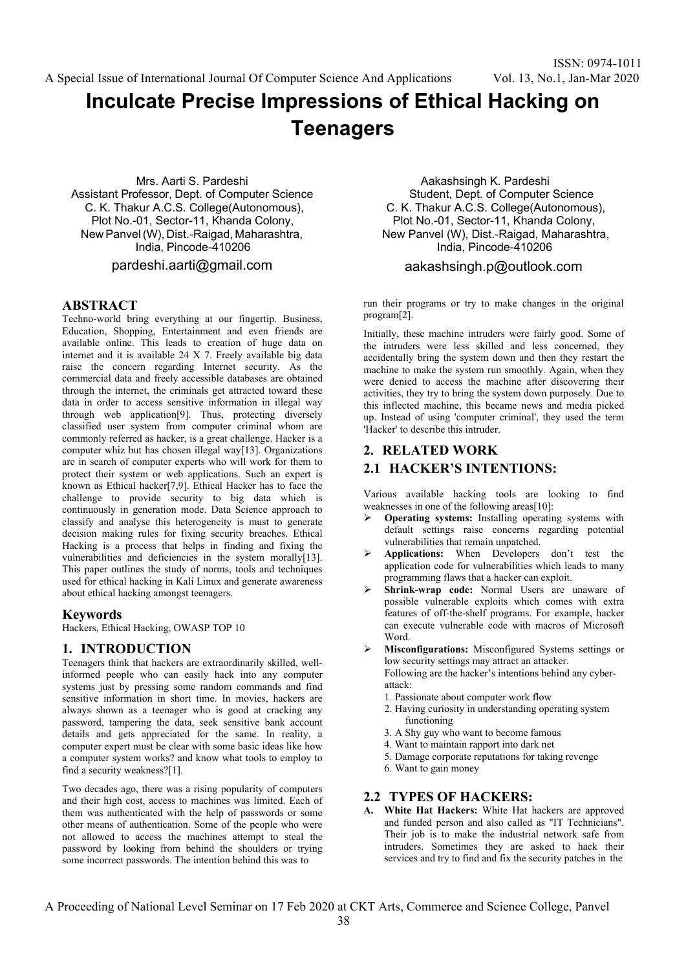# **Inculcate Precise Impressions of Ethical Hacking on Teenagers**

Mrs. Aarti S. Pardeshi Assistant Professor, Dept. of Computer Science C. K. Thakur A.C.S. College(Autonomous), Plot No.-01, Sector-11, Khanda Colony, New Panvel (W), Dist.-Raigad, Maharashtra, India, Pincode-410206

pardeshi.aarti@gmail.com

# **ABSTRACT**

Techno-world bring everything at our fingertip. Business, Education, Shopping, Entertainment and even friends are available online. This leads to creation of huge data on internet and it is available 24 X 7. Freely available big data raise the concern regarding Internet security. As the commercial data and freely accessible databases are obtained through the internet, the criminals get attracted toward these data in order to access sensitive information in illegal way through web application[9]. Thus, protecting diversely classified user system from computer criminal whom are commonly referred as hacker, is a great challenge. Hacker is a computer whiz but has chosen illegal way[13]. Organizations are in search of computer experts who will work for them to protect their system or web applications. Such an expert is known as Ethical hacker[7,9]. Ethical Hacker has to face the challenge to provide security to big data which is continuously in generation mode. Data Science approach to classify and analyse this heterogeneity is must to generate decision making rules for fixing security breaches. Ethical Hacking is a process that helps in finding and fixing the vulnerabilities and deficiencies in the system morally[13]. This paper outlines the study of norms, tools and techniques used for ethical hacking in Kali Linux and generate awareness about ethical hacking amongst teenagers.

# **Keywords**

Hackers, Ethical Hacking, OWASP TOP 10

# **1. INTRODUCTION**

Teenagers think that hackers are extraordinarily skilled, wellinformed people who can easily hack into any computer systems just by pressing some random commands and find sensitive information in short time. In movies, hackers are always shown as a teenager who is good at cracking any password, tampering the data, seek sensitive bank account details and gets appreciated for the same. In reality, a computer expert must be clear with some basic ideas like how a computer system works? and know what tools to employ to find a security weakness?[1].

Two decades ago, there was a rising popularity of computers and their high cost, access to machines was limited. Each of them was authenticated with the help of passwords or some other means of authentication. Some of the people who were not allowed to access the machines attempt to steal the password by looking from behind the shoulders or trying some incorrect passwords. The intention behind this was to

Aakashsingh K. Pardeshi Student, Dept. of Computer Science C. K. Thakur A.C.S. College(Autonomous), Plot No.-01, Sector-11, Khanda Colony, New Panvel (W), Dist.-Raigad, Maharashtra, India, Pincode-410206

### aakashsingh.p@outlook.com

run their programs or try to make changes in the original program[2].

Initially, these machine intruders were fairly good. Some of the intruders were less skilled and less concerned, they accidentally bring the system down and then they restart the machine to make the system run smoothly. Again, when they were denied to access the machine after discovering their activities, they try to bring the system down purposely. Due to this inflected machine, this became news and media picked up. Instead of using 'computer criminal', they used the term 'Hacker' to describe this intruder.

# **2. RELATED WORK**

# **2.1 HACKER'S INTENTIONS:**

Various available hacking tools are looking to find weaknesses in one of the following areas[10]:

- **Operating systems:** Installing operating systems with default settings raise concerns regarding potential vulnerabilities that remain unpatched.
- **Applications:** When Developers don't test the application code for vulnerabilities which leads to many programming flaws that a hacker can exploit.
- **Shrink-wrap code:** Normal Users are unaware of possible vulnerable exploits which comes with extra features of off-the-shelf programs. For example, hacker can execute vulnerable code with macros of Microsoft Word.
- **Misconfigurations:** Misconfigured Systems settings or low security settings may attract an attacker. Following are the hacker's intentions behind any cyberattack:
	- 1. Passionate about computer work flow
	- 2. Having curiosity in understanding operating system functioning
	- 3. A Shy guy who want to become famous
	- 4. Want to maintain rapport into dark net
	- 5. Damage corporate reputations for taking revenge
	- 6. Want to gain money

# **2.2 TYPES OF HACKERS:**

**A. White Hat Hackers:** White Hat hackers are approved and funded person and also called as "IT Technicians". Their job is to make the industrial network safe from intruders. Sometimes they are asked to hack their services and try to find and fix the security patches in the

A Proceeding of National Level Seminar on 17 Feb 2020 at CKT Arts, Commerce and Science College, Panvel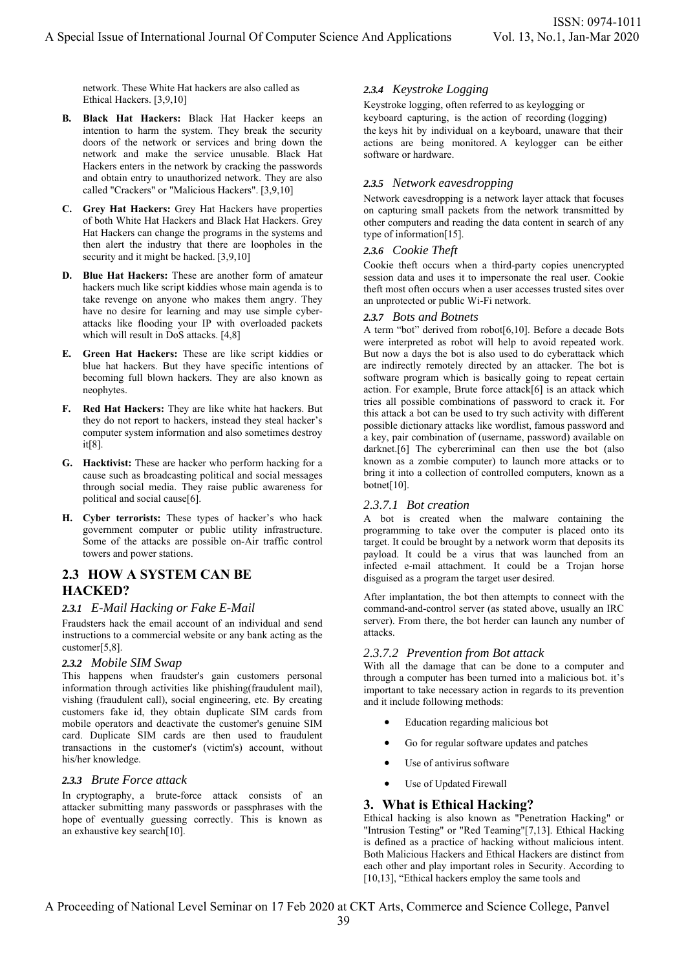network. These White Hat hackers are also called as Ethical Hackers. [3,9,10]

- **B. Black Hat Hackers:** Black Hat Hacker keeps an intention to harm the system. They break the security doors of the network or services and bring down the network and make the service unusable. Black Hat Hackers enters in the network by cracking the passwords and obtain entry to unauthorized network. They are also called "Crackers" or "Malicious Hackers". [3,9,10]
- **C. Grey Hat Hackers:** Grey Hat Hackers have properties of both White Hat Hackers and Black Hat Hackers. Grey Hat Hackers can change the programs in the systems and then alert the industry that there are loopholes in the security and it might be hacked. [3,9,10]
- **D. Blue Hat Hackers:** These are another form of amateur hackers much like script kiddies whose main agenda is to take revenge on anyone who makes them angry. They have no desire for learning and may use simple cyberattacks like flooding your IP with overloaded packets which will result in DoS attacks. [4,8]
- **E. Green Hat Hackers:** These are like script kiddies or blue hat hackers. But they have specific intentions of becoming full blown hackers. They are also known as neophytes.
- **F. Red Hat Hackers:** They are like white hat hackers. But they do not report to hackers, instead they steal hacker's computer system information and also sometimes destroy it[8].
- **G. Hacktivist:** These are hacker who perform hacking for a cause such as broadcasting political and social messages through social media. They raise public awareness for political and social cause[6].
- **H. Cyber terrorists:** These types of hacker's who hack government computer or public utility infrastructure. Some of the attacks are possible on-Air traffic control towers and power stations.

# **2.3 HOW A SYSTEM CAN BE HACKED?**

# *2.3.1 E-Mail Hacking or Fake E-Mail*

Fraudsters hack the email account of an individual and send instructions to a commercial website or any bank acting as the customer[5,8].

### *2.3.2 Mobile SIM Swap*

This happens when fraudster's gain customers personal information through activities like phishing(fraudulent mail), vishing (fraudulent call), social engineering, etc. By creating customers fake id, they obtain duplicate SIM cards from mobile operators and deactivate the customer's genuine SIM card. Duplicate SIM cards are then used to fraudulent transactions in the customer's (victim's) account, without his/her knowledge.

### *2.3.3 Brute Force attack*

In cryptography, a brute-force attack consists of an attacker submitting many passwords or passphrases with the hope of eventually guessing correctly. This is known as an exhaustive key search[10].

# *2.3.4 Keystroke Logging*

Keystroke logging, often referred to as keylogging or keyboard capturing, is the action of recording (logging) the keys hit by individual on a keyboard, unaware that their actions are being monitored. A keylogger can be either software or hardware.

# *2.3.5 Network eavesdropping*

Network eavesdropping is a network layer attack that focuses on capturing small packets from the network transmitted by other computers and reading the data content in search of any type of information[15].

### *2.3.6 Cookie Theft*

Cookie theft occurs when a third-party copies unencrypted session data and uses it to impersonate the real user. Cookie theft most often occurs when a user accesses trusted sites over an unprotected or public Wi-Fi network.

### *2.3.7 Bots and Botnets*

A term "bot" derived from robot[6,10]. Before a decade Bots were interpreted as robot will help to avoid repeated work. But now a days the bot is also used to do cyberattack which are indirectly remotely directed by an attacker. The bot is software program which is basically going to repeat certain action. For example, Brute force attack[6] is an attack which tries all possible combinations of password to crack it. For this attack a bot can be used to try such activity with different possible dictionary attacks like wordlist, famous password and a key, pair combination of (username, password) available on darknet.<sup>[6]</sup> The cybercriminal can then use the bot (also known as a zombie computer) to launch more attacks or to bring it into a collection of controlled computers, known as a botnet[10].

### *2.3.7.1 Bot creation*

A bot is created when the malware containing the programming to take over the computer is placed onto its target. It could be brought by a network worm that deposits its payload. It could be a virus that was launched from an infected e-mail attachment. It could be a Trojan horse disguised as a program the target user desired.

After implantation, the bot then attempts to connect with the command-and-control server (as stated above, usually an IRC server). From there, the bot herder can launch any number of attacks.

### *2.3.7.2 Prevention from Bot attack*

With all the damage that can be done to a computer and through a computer has been turned into a malicious bot. it's important to take necessary action in regards to its prevention and it include following methods:

- Education regarding malicious bot
- Go for regular software updates and patches
- Use of antivirus software
- Use of Updated Firewall

# **3. What is Ethical Hacking?**

Ethical hacking is also known as "Penetration Hacking" or "Intrusion Testing" or "Red Teaming"[7,13]. Ethical Hacking is defined as a practice of hacking without malicious intent. Both Malicious Hackers and Ethical Hackers are distinct from each other and play important roles in Security. According to [10,13], "Ethical hackers employ the same tools and

A Proceeding of National Level Seminar on 17 Feb 2020 at CKT Arts, Commerce and Science College, Panvel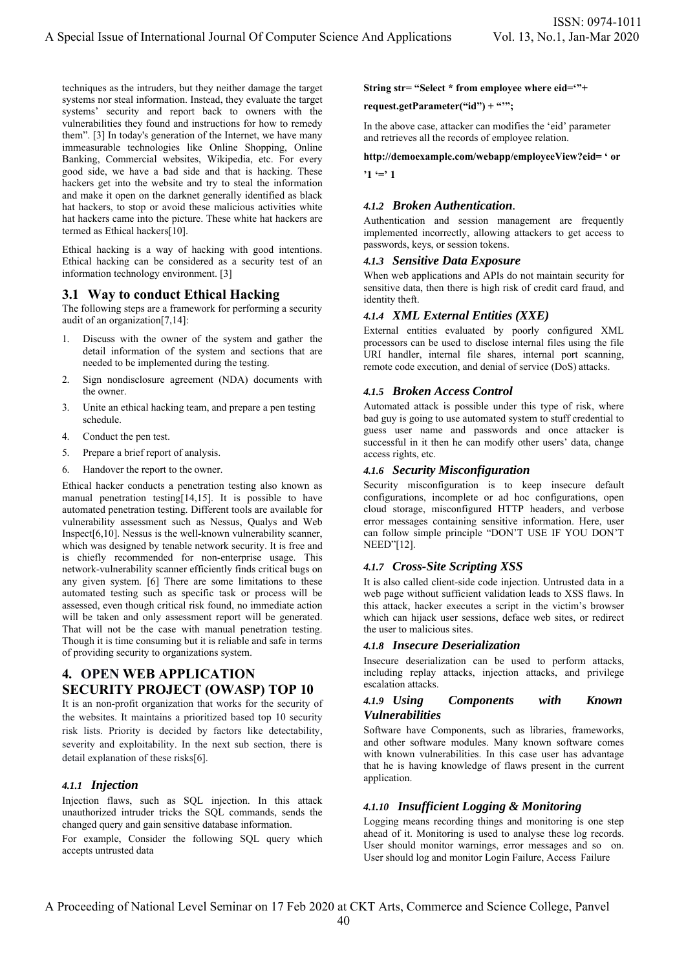techniques as the intruders, but they neither damage the target systems nor steal information. Instead, they evaluate the target systems' security and report back to owners with the vulnerabilities they found and instructions for how to remedy them". [3] In today's generation of the Internet, we have many immeasurable technologies like Online Shopping, Online Banking, Commercial websites, Wikipedia, etc. For every good side, we have a bad side and that is hacking. These hackers get into the website and try to steal the information and make it open on the darknet generally identified as black hat hackers, to stop or avoid these malicious activities white hat hackers came into the picture. These white hat hackers are termed as Ethical hackers[10].

Ethical hacking is a way of hacking with good intentions. Ethical hacking can be considered as a security test of an information technology environment. [3]

### **3.1 Way to conduct Ethical Hacking**

The following steps are a framework for performing a security audit of an organization[7,14]:

- 1. Discuss with the owner of the system and gather the detail information of the system and sections that are needed to be implemented during the testing.
- 2. Sign nondisclosure agreement (NDA) documents with the owner.
- 3. Unite an ethical hacking team, and prepare a pen testing schedule.
- 4. Conduct the pen test.
- 5. Prepare a brief report of analysis.
- 6. Handover the report to the owner.

Ethical hacker conducts a penetration testing also known as manual penetration testing[14,15]. It is possible to have automated penetration testing. Different tools are available for vulnerability assessment such as Nessus, Qualys and Web Inspect[6,10]. Nessus is the well-known vulnerability scanner, which was designed by tenable network security. It is free and is chiefly recommended for non-enterprise usage. This network-vulnerability scanner efficiently finds critical bugs on any given system. [6] There are some limitations to these automated testing such as specific task or process will be assessed, even though critical risk found, no immediate action will be taken and only assessment report will be generated. That will not be the case with manual penetration testing. Though it is time consuming but it is reliable and safe in terms of providing security to organizations system.

# **4. OPEN WEB APPLICATION SECURITY PROJECT (OWASP) TOP 10**

It is an non-profit organization that works for the security of the websites. It maintains a prioritized based top 10 security risk lists. Priority is decided by factors like detectability, severity and exploitability. In the next sub section, there is detail explanation of these risks[6].

### *4.1.1 Injection*

Injection flaws, such as SQL injection. In this attack unauthorized intruder tricks the SQL commands, sends the changed query and gain sensitive database information.

For example, Consider the following SQL query which accepts untrusted data

### **String str= "Select \* from employee where eid='"+**

### **request.getParameter("id") + "'";**

In the above case, attacker can modifies the 'eid' parameter and retrieves all the records of employee relation.

### **http://demoexample.com/webapp/employeeView?eid= ' or**

 $1 \equiv 1$ 

### *4.1.2 Broken Authentication.*

Authentication and session management are frequently implemented incorrectly, allowing attackers to get access to passwords, keys, or session tokens.

### *4.1.3 Sensitive Data Exposure*

When web applications and APIs do not maintain security for sensitive data, then there is high risk of credit card fraud, and identity theft.

### *4.1.4 XML External Entities (XXE)*

External entities evaluated by poorly configured XML processors can be used to disclose internal files using the file URI handler, internal file shares, internal port scanning, remote code execution, and denial of service (DoS) attacks.

### *4.1.5 Broken Access Control*

Automated attack is possible under this type of risk, where bad guy is going to use automated system to stuff credential to guess user name and passwords and once attacker is successful in it then he can modify other users' data, change access rights, etc.

### *4.1.6 Security Misconfiguration*

Security misconfiguration is to keep insecure default configurations, incomplete or ad hoc configurations, open cloud storage, misconfigured HTTP headers, and verbose error messages containing sensitive information. Here, user can follow simple principle "DON'T USE IF YOU DON'T NEED"[12].

### *4.1.7 Cross-Site Scripting XSS*

It is also called client-side code injection. Untrusted data in a web page without sufficient validation leads to XSS flaws. In this attack, hacker executes a script in the victim's browser which can hijack user sessions, deface web sites, or redirect the user to malicious sites.

### *4.1.8 Insecure Deserialization*

Insecure deserialization can be used to perform attacks, including replay attacks, injection attacks, and privilege escalation attacks.

### *4.1.9 Using Components with Known Vulnerabilities*

Software have Components, such as libraries, frameworks, and other software modules. Many known software comes with known vulnerabilities. In this case user has advantage that he is having knowledge of flaws present in the current application.

### *4.1.10 Insufficient Logging & Monitoring*

Logging means recording things and monitoring is one step ahead of it. Monitoring is used to analyse these log records. User should monitor warnings, error messages and so on. User should log and monitor Login Failure, Access Failure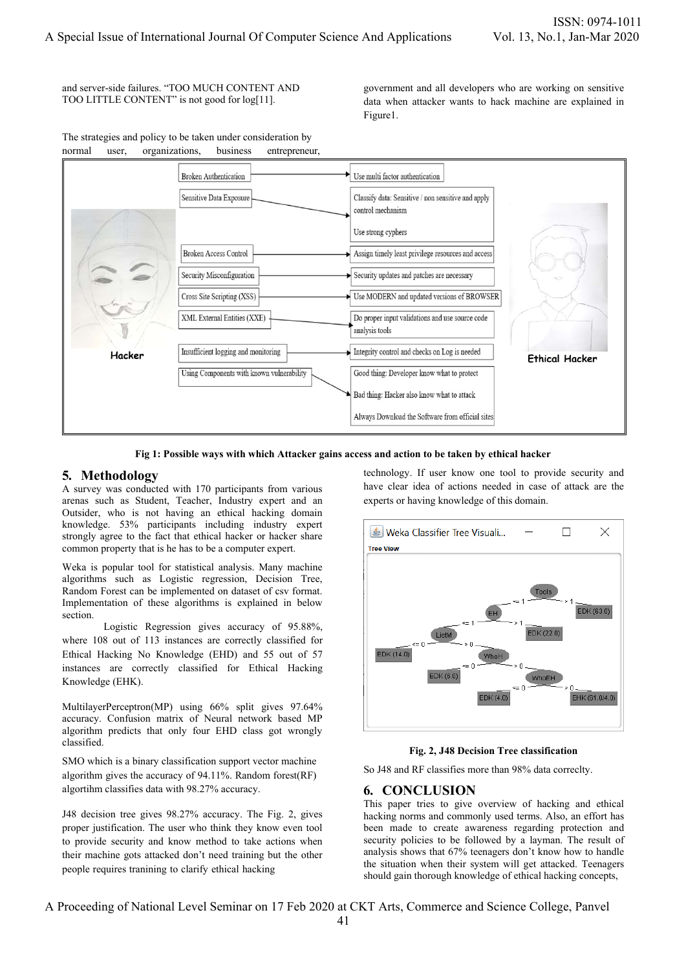and server-side failures. "TOO MUCH CONTENT AND TOO LITTLE CONTENT" is not good for log[11].

government and all developers who are working on sensitive data when attacker wants to hack machine are explained in Figure1.



**Fig 1: Possible ways with which Attacker gains access and action to be taken by ethical hacker** 

# **5. Methodology**

A survey was conducted with 170 participants from various arenas such as Student, Teacher, Industry expert and an Outsider, who is not having an ethical hacking domain knowledge. 53% participants including industry expert strongly agree to the fact that ethical hacker or hacker share common property that is he has to be a computer expert.

Weka is popular tool for statistical analysis. Many machine algorithms such as Logistic regression, Decision Tree, Random Forest can be implemented on dataset of csv format. Implementation of these algorithms is explained in below section.

Logistic Regression gives accuracy of 95.88%, where 108 out of 113 instances are correctly classified for Ethical Hacking No Knowledge (EHD) and 55 out of 57 instances are correctly classified for Ethical Hacking Knowledge (EHK).

MultilayerPerceptron(MP) using 66% split gives 97.64% accuracy. Confusion matrix of Neural network based MP algorithm predicts that only four EHD class got wrongly classified.

SMO which is a binary classification support vector machine algorithm gives the accuracy of 94.11%. Random forest(RF) algortihm classifies data with 98.27% accuracy.

J48 decision tree gives 98.27% accuracy. The Fig. 2, gives proper justification. The user who think they know even tool to provide security and know method to take actions when their machine gots attacked don't need training but the other people requires tranining to clarify ethical hacking

technology. If user know one tool to provide security and have clear idea of actions needed in case of attack are the experts or having knowledge of this domain.



**Fig. 2, J48 Decision Tree classification** 

So J48 and RF classifies more than 98% data correclty.

# **6. CONCLUSION**

This paper tries to give overview of hacking and ethical hacking norms and commonly used terms. Also, an effort has been made to create awareness regarding protection and security policies to be followed by a layman. The result of analysis shows that 67% teenagers don't know how to handle the situation when their system will get attacked. Teenagers should gain thorough knowledge of ethical hacking concepts,

A Proceeding of National Level Seminar on 17 Feb 2020 at CKT Arts, Commerce and Science College, Panvel